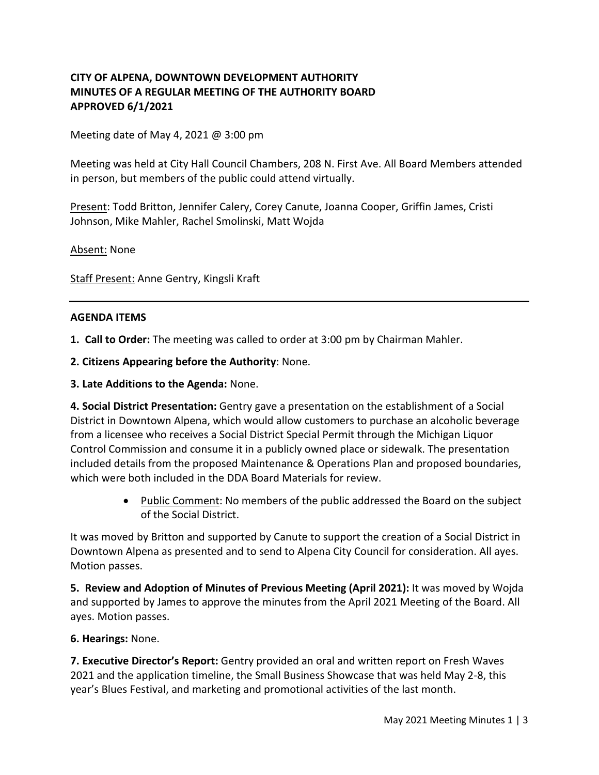# **CITY OF ALPENA, DOWNTOWN DEVELOPMENT AUTHORITY MINUTES OF A REGULAR MEETING OF THE AUTHORITY BOARD APPROVED 6/1/2021**

Meeting date of May 4, 2021 @ 3:00 pm

Meeting was held at City Hall Council Chambers, 208 N. First Ave. All Board Members attended in person, but members of the public could attend virtually.

Present: Todd Britton, Jennifer Calery, Corey Canute, Joanna Cooper, Griffin James, Cristi Johnson, Mike Mahler, Rachel Smolinski, Matt Wojda

Absent: None

Staff Present: Anne Gentry, Kingsli Kraft

#### **AGENDA ITEMS**

**1. Call to Order:** The meeting was called to order at 3:00 pm by Chairman Mahler.

**2. Citizens Appearing before the Authority**: None.

**3. Late Additions to the Agenda:** None.

**4. Social District Presentation:** Gentry gave a presentation on the establishment of a Social District in Downtown Alpena, which would allow customers to purchase an alcoholic beverage from a licensee who receives a Social District Special Permit through the Michigan Liquor Control Commission and consume it in a publicly owned place or sidewalk. The presentation included details from the proposed Maintenance & Operations Plan and proposed boundaries, which were both included in the DDA Board Materials for review.

> • Public Comment: No members of the public addressed the Board on the subject of the Social District.

It was moved by Britton and supported by Canute to support the creation of a Social District in Downtown Alpena as presented and to send to Alpena City Council for consideration. All ayes. Motion passes.

**5. Review and Adoption of Minutes of Previous Meeting (April 2021):** It was moved by Wojda and supported by James to approve the minutes from the April 2021 Meeting of the Board. All ayes. Motion passes.

#### **6. Hearings:** None.

**7. Executive Director's Report:** Gentry provided an oral and written report on Fresh Waves 2021 and the application timeline, the Small Business Showcase that was held May 2-8, this year's Blues Festival, and marketing and promotional activities of the last month.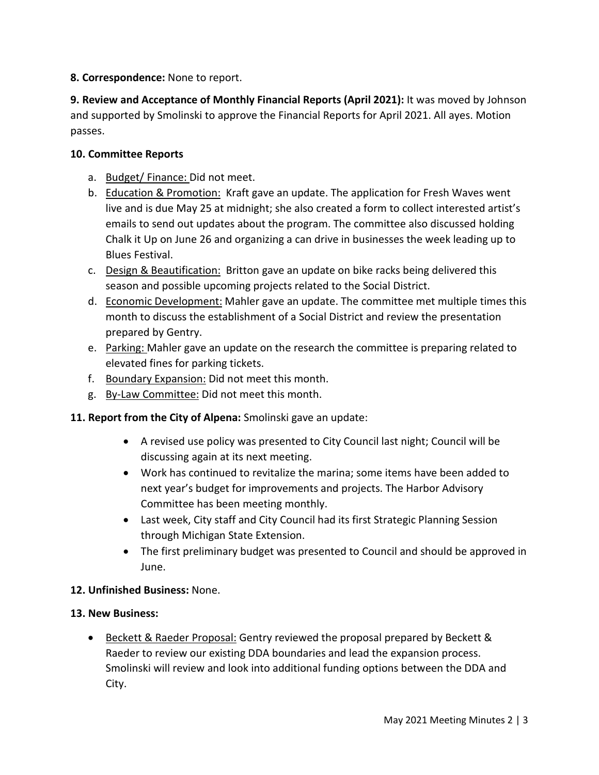# **8. Correspondence:** None to report.

**9. Review and Acceptance of Monthly Financial Reports (April 2021):** It was moved by Johnson and supported by Smolinski to approve the Financial Reports for April 2021. All ayes. Motion passes.

## **10. Committee Reports**

- a. Budget/ Finance: Did not meet.
- b. Education & Promotion: Kraft gave an update. The application for Fresh Waves went live and is due May 25 at midnight; she also created a form to collect interested artist's emails to send out updates about the program. The committee also discussed holding Chalk it Up on June 26 and organizing a can drive in businesses the week leading up to Blues Festival.
- c. Design & Beautification: Britton gave an update on bike racks being delivered this season and possible upcoming projects related to the Social District.
- d. Economic Development: Mahler gave an update. The committee met multiple times this month to discuss the establishment of a Social District and review the presentation prepared by Gentry.
- e. Parking: Mahler gave an update on the research the committee is preparing related to elevated fines for parking tickets.
- f. Boundary Expansion: Did not meet this month.
- g. By-Law Committee: Did not meet this month.
- **11. Report from the City of Alpena:** Smolinski gave an update:
	- A revised use policy was presented to City Council last night; Council will be discussing again at its next meeting.
	- Work has continued to revitalize the marina; some items have been added to next year's budget for improvements and projects. The Harbor Advisory Committee has been meeting monthly.
	- Last week, City staff and City Council had its first Strategic Planning Session through Michigan State Extension.
	- The first preliminary budget was presented to Council and should be approved in June.

### **12. Unfinished Business:** None.

### **13. New Business:**

• Beckett & Raeder Proposal: Gentry reviewed the proposal prepared by Beckett & Raeder to review our existing DDA boundaries and lead the expansion process. Smolinski will review and look into additional funding options between the DDA and City.